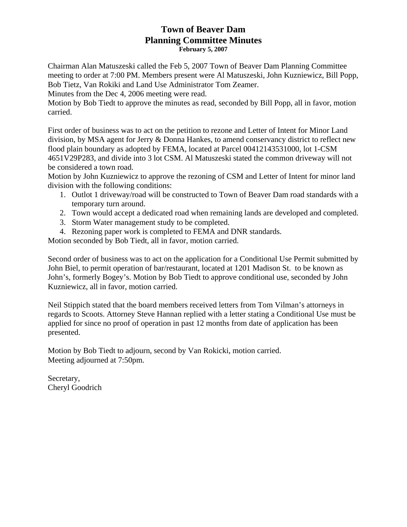# **Town of Beaver Dam Planning Committee Minutes February 5, 2007**

Chairman Alan Matuszeski called the Feb 5, 2007 Town of Beaver Dam Planning Committee meeting to order at 7:00 PM. Members present were Al Matuszeski, John Kuzniewicz, Bill Popp, Bob Tietz, Van Rokiki and Land Use Administrator Tom Zeamer.

Minutes from the Dec 4, 2006 meeting were read.

Motion by Bob Tiedt to approve the minutes as read, seconded by Bill Popp, all in favor, motion carried.

First order of business was to act on the petition to rezone and Letter of Intent for Minor Land division, by MSA agent for Jerry & Donna Hankes, to amend conservancy district to reflect new flood plain boundary as adopted by FEMA, located at Parcel 00412143531000, lot 1-CSM 4651V29P283, and divide into 3 lot CSM. Al Matuszeski stated the common driveway will not be considered a town road.

Motion by John Kuzniewicz to approve the rezoning of CSM and Letter of Intent for minor land division with the following conditions:

- 1. Outlot 1 driveway/road will be constructed to Town of Beaver Dam road standards with a temporary turn around.
- 2. Town would accept a dedicated road when remaining lands are developed and completed.
- 3. Storm Water management study to be completed.
- 4. Rezoning paper work is completed to FEMA and DNR standards.

Motion seconded by Bob Tiedt, all in favor, motion carried.

Second order of business was to act on the application for a Conditional Use Permit submitted by John Biel, to permit operation of bar/restaurant, located at 1201 Madison St. to be known as John's, formerly Bogey's. Motion by Bob Tiedt to approve conditional use, seconded by John Kuzniewicz, all in favor, motion carried.

Neil Stippich stated that the board members received letters from Tom Vilman's attorneys in regards to Scoots. Attorney Steve Hannan replied with a letter stating a Conditional Use must be applied for since no proof of operation in past 12 months from date of application has been presented.

Motion by Bob Tiedt to adjourn, second by Van Rokicki, motion carried. Meeting adjourned at 7:50pm.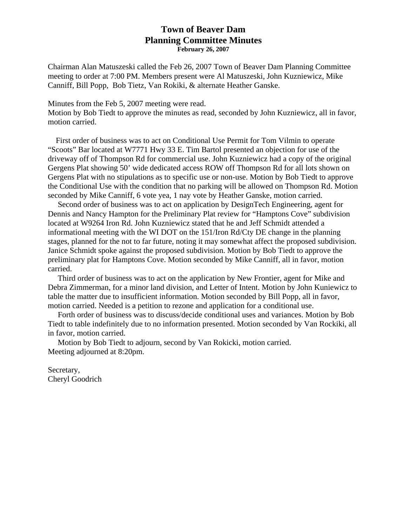# **Town of Beaver Dam Planning Committee Minutes February 26, 2007**

Chairman Alan Matuszeski called the Feb 26, 2007 Town of Beaver Dam Planning Committee meeting to order at 7:00 PM. Members present were Al Matuszeski, John Kuzniewicz, Mike Canniff, Bill Popp, Bob Tietz, Van Rokiki, & alternate Heather Ganske.

Minutes from the Feb 5, 2007 meeting were read.

Motion by Bob Tiedt to approve the minutes as read, seconded by John Kuzniewicz, all in favor, motion carried.

 First order of business was to act on Conditional Use Permit for Tom Vilmin to operate "Scoots" Bar located at W7771 Hwy 33 E. Tim Bartol presented an objection for use of the driveway off of Thompson Rd for commercial use. John Kuzniewicz had a copy of the original Gergens Plat showing 50' wide dedicated access ROW off Thompson Rd for all lots shown on Gergens Plat with no stipulations as to specific use or non-use. Motion by Bob Tiedt to approve the Conditional Use with the condition that no parking will be allowed on Thompson Rd. Motion seconded by Mike Canniff, 6 vote yea, 1 nay vote by Heather Ganske, motion carried.

 Second order of business was to act on application by DesignTech Engineering, agent for Dennis and Nancy Hampton for the Preliminary Plat review for "Hamptons Cove" subdivision located at W9264 Iron Rd. John Kuzniewicz stated that he and Jeff Schmidt attended a informational meeting with the WI DOT on the 151/Iron Rd/Cty DE change in the planning stages, planned for the not to far future, noting it may somewhat affect the proposed subdivision. Janice Schmidt spoke against the proposed subdivision. Motion by Bob Tiedt to approve the preliminary plat for Hamptons Cove. Motion seconded by Mike Canniff, all in favor, motion carried.

 Third order of business was to act on the application by New Frontier, agent for Mike and Debra Zimmerman, for a minor land division, and Letter of Intent. Motion by John Kuniewicz to table the matter due to insufficient information. Motion seconded by Bill Popp, all in favor, motion carried. Needed is a petition to rezone and application for a conditional use.

 Forth order of business was to discuss/decide conditional uses and variances. Motion by Bob Tiedt to table indefinitely due to no information presented. Motion seconded by Van Rockiki, all in favor, motion carried.

 Motion by Bob Tiedt to adjourn, second by Van Rokicki, motion carried. Meeting adjourned at 8:20pm.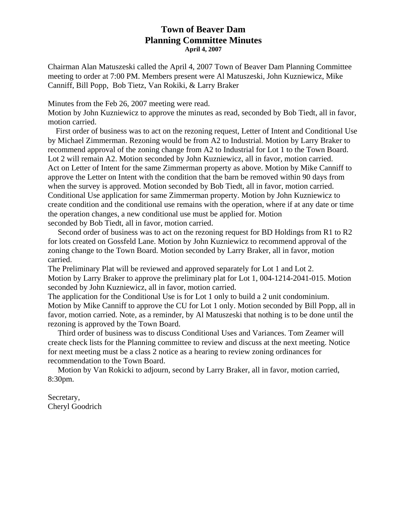# **Town of Beaver Dam Planning Committee Minutes April 4, 2007**

Chairman Alan Matuszeski called the April 4, 2007 Town of Beaver Dam Planning Committee meeting to order at 7:00 PM. Members present were Al Matuszeski, John Kuzniewicz, Mike Canniff, Bill Popp, Bob Tietz, Van Rokiki, & Larry Braker

Minutes from the Feb 26, 2007 meeting were read.

Motion by John Kuzniewicz to approve the minutes as read, seconded by Bob Tiedt, all in favor, motion carried.

 First order of business was to act on the rezoning request, Letter of Intent and Conditional Use by Michael Zimmerman. Rezoning would be from A2 to Industrial. Motion by Larry Braker to recommend approval of the zoning change from A2 to Industrial for Lot 1 to the Town Board. Lot 2 will remain A2. Motion seconded by John Kuzniewicz, all in favor, motion carried. Act on Letter of Intent for the same Zimmerman property as above. Motion by Mike Canniff to approve the Letter on Intent with the condition that the barn be removed within 90 days from when the survey is approved. Motion seconded by Bob Tiedt, all in favor, motion carried. Conditional Use application for same Zimmerman property. Motion by John Kuzniewicz to create condition and the conditional use remains with the operation, where if at any date or time the operation changes, a new conditional use must be applied for. Motion seconded by Bob Tiedt, all in favor, motion carried.

 Second order of business was to act on the rezoning request for BD Holdings from R1 to R2 for lots created on Gossfeld Lane. Motion by John Kuzniewicz to recommend approval of the zoning change to the Town Board. Motion seconded by Larry Braker, all in favor, motion carried.

The Preliminary Plat will be reviewed and approved separately for Lot 1 and Lot 2. Motion by Larry Braker to approve the preliminary plat for Lot 1, 004-1214-2041-015. Motion seconded by John Kuzniewicz, all in favor, motion carried.

The application for the Conditional Use is for Lot 1 only to build a 2 unit condominium. Motion by Mike Canniff to approve the CU for Lot 1 only. Motion seconded by Bill Popp, all in favor, motion carried. Note, as a reminder, by Al Matuszeski that nothing is to be done until the rezoning is approved by the Town Board.

 Third order of business was to discuss Conditional Uses and Variances. Tom Zeamer will create check lists for the Planning committee to review and discuss at the next meeting. Notice for next meeting must be a class 2 notice as a hearing to review zoning ordinances for recommendation to the Town Board.

 Motion by Van Rokicki to adjourn, second by Larry Braker, all in favor, motion carried, 8:30pm.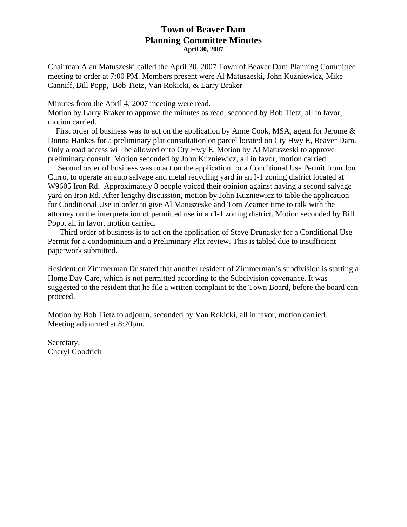# **Town of Beaver Dam Planning Committee Minutes April 30, 2007**

Chairman Alan Matuszeski called the April 30, 2007 Town of Beaver Dam Planning Committee meeting to order at 7:00 PM. Members present were Al Matuszeski, John Kuzniewicz, Mike Canniff, Bill Popp, Bob Tietz, Van Rokicki, & Larry Braker

Minutes from the April 4, 2007 meeting were read.

Motion by Larry Braker to approve the minutes as read, seconded by Bob Tietz, all in favor, motion carried.

 First order of business was to act on the application by Anne Cook, MSA, agent for Jerome & Donna Hankes for a preliminary plat consultation on parcel located on Cty Hwy E, Beaver Dam. Only a road access will be allowed onto Cty Hwy E. Motion by Al Matuszeski to approve preliminary consult. Motion seconded by John Kuzniewicz, all in favor, motion carried.

 Second order of business was to act on the application for a Conditional Use Permit from Jon Curro, to operate an auto salvage and metal recycling yard in an I-1 zoning district located at W9605 Iron Rd. Approximately 8 people voiced their opinion against having a second salvage yard on Iron Rd. After lengthy discussion, motion by John Kuzniewicz to table the application for Conditional Use in order to give Al Matuszeske and Tom Zeamer time to talk with the attorney on the interpretation of permitted use in an I-1 zoning district. Motion seconded by Bill Popp, all in favor, motion carried.

 Third order of business is to act on the application of Steve Drunasky for a Conditional Use Permit for a condominium and a Preliminary Plat review. This is tabled due to insufficient paperwork submitted.

Resident on Zimmerman Dr stated that another resident of Zimmerman's subdivision is starting a Home Day Care, which is not permitted according to the Subdivision covenance. It was suggested to the resident that he file a written complaint to the Town Board, before the board can proceed.

Motion by Bob Tietz to adjourn, seconded by Van Rokicki, all in favor, motion carried. Meeting adjourned at 8:20pm.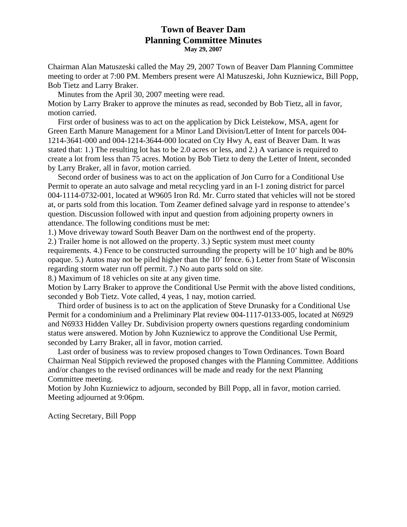## **Town of Beaver Dam Planning Committee Minutes May 29, 2007**

Chairman Alan Matuszeski called the May 29, 2007 Town of Beaver Dam Planning Committee meeting to order at 7:00 PM. Members present were Al Matuszeski, John Kuzniewicz, Bill Popp, Bob Tietz and Larry Braker.

 Minutes from the April 30, 2007 meeting were read. Motion by Larry Braker to approve the minutes as read, seconded by Bob Tietz, all in favor, motion carried.

 First order of business was to act on the application by Dick Leistekow, MSA, agent for Green Earth Manure Management for a Minor Land Division/Letter of Intent for parcels 004- 1214-3641-000 and 004-1214-3644-000 located on Cty Hwy A, east of Beaver Dam. It was stated that: 1.) The resulting lot has to be 2.0 acres or less, and 2.) A variance is required to create a lot from less than 75 acres. Motion by Bob Tietz to deny the Letter of Intent, seconded by Larry Braker, all in favor, motion carried.

 Second order of business was to act on the application of Jon Curro for a Conditional Use Permit to operate an auto salvage and metal recycling yard in an I-1 zoning district for parcel 004-1114-0732-001, located at W9605 Iron Rd. Mr. Curro stated that vehicles will not be stored at, or parts sold from this location. Tom Zeamer defined salvage yard in response to attendee's question. Discussion followed with input and question from adjoining property owners in attendance. The following conditions must be met:

1.) Move driveway toward South Beaver Dam on the northwest end of the property.

2.) Trailer home is not allowed on the property. 3.) Septic system must meet county requirements. 4.) Fence to be constructed surrounding the property will be 10' high and be 80% opaque. 5.) Autos may not be piled higher than the 10' fence. 6.) Letter from State of Wisconsin regarding storm water run off permit. 7.) No auto parts sold on site.

8.) Maximum of 18 vehicles on site at any given time.

Motion by Larry Braker to approve the Conditional Use Permit with the above listed conditions, seconded y Bob Tietz. Vote called, 4 yeas, 1 nay, motion carried.

 Third order of business is to act on the application of Steve Drunasky for a Conditional Use Permit for a condominium and a Preliminary Plat review 004-1117-0133-005, located at N6929 and N6933 Hidden Valley Dr. Subdivision property owners questions regarding condominium status were answered. Motion by John Kuzniewicz to approve the Conditional Use Permit, seconded by Larry Braker, all in favor, motion carried.

 Last order of business was to review proposed changes to Town Ordinances. Town Board Chairman Neal Stippich reviewed the proposed changes with the Planning Committee. Additions and/or changes to the revised ordinances will be made and ready for the next Planning Committee meeting.

Motion by John Kuzniewicz to adjourn, seconded by Bill Popp, all in favor, motion carried. Meeting adjourned at 9:06pm.

Acting Secretary, Bill Popp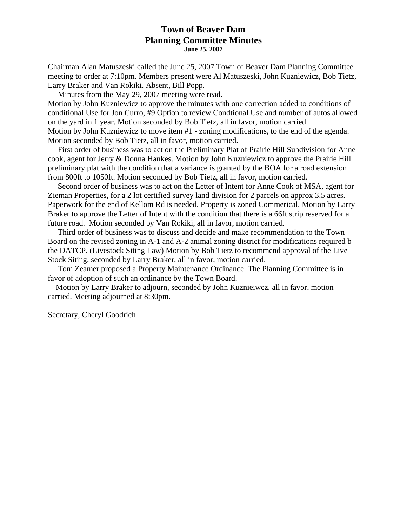# **Town of Beaver Dam Planning Committee Minutes June 25, 2007**

Chairman Alan Matuszeski called the June 25, 2007 Town of Beaver Dam Planning Committee meeting to order at 7:10pm. Members present were Al Matuszeski, John Kuzniewicz, Bob Tietz, Larry Braker and Van Rokiki. Absent, Bill Popp.

Minutes from the May 29, 2007 meeting were read.

Motion by John Kuzniewicz to approve the minutes with one correction added to conditions of conditional Use for Jon Curro, #9 Option to review Condtional Use and number of autos allowed on the yard in 1 year. Motion seconded by Bob Tietz, all in favor, motion carried. Motion by John Kuzniewicz to move item #1 - zoning modifications, to the end of the agenda. Motion seconded by Bob Tietz, all in favor, motion carried.

 First order of business was to act on the Preliminary Plat of Prairie Hill Subdivision for Anne cook, agent for Jerry & Donna Hankes. Motion by John Kuzniewicz to approve the Prairie Hill preliminary plat with the condition that a variance is granted by the BOA for a road extension from 800ft to 1050ft. Motion seconded by Bob Tietz, all in favor, motion carried.

 Second order of business was to act on the Letter of Intent for Anne Cook of MSA, agent for Zieman Properties, for a 2 lot certified survey land division for 2 parcels on approx 3.5 acres. Paperwork for the end of Kellom Rd is needed. Property is zoned Commerical. Motion by Larry Braker to approve the Letter of Intent with the condition that there is a 66ft strip reserved for a future road. Motion seconded by Van Rokiki, all in favor, motion carried.

 Third order of business was to discuss and decide and make recommendation to the Town Board on the revised zoning in A-1 and A-2 animal zoning district for modifications required b the DATCP. (Livestock Siting Law) Motion by Bob Tietz to recommend approval of the Live Stock Siting, seconded by Larry Braker, all in favor, motion carried.

 Tom Zeamer proposed a Property Maintenance Ordinance. The Planning Committee is in favor of adoption of such an ordinance by the Town Board.

 Motion by Larry Braker to adjourn, seconded by John Kuznieiwcz, all in favor, motion carried. Meeting adjourned at 8:30pm.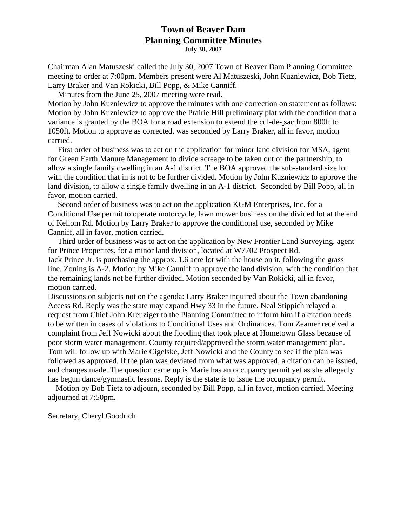# **Town of Beaver Dam Planning Committee Minutes July 30, 2007**

Chairman Alan Matuszeski called the July 30, 2007 Town of Beaver Dam Planning Committee meeting to order at 7:00pm. Members present were Al Matuszeski, John Kuzniewicz, Bob Tietz, Larry Braker and Van Rokicki, Bill Popp, & Mike Canniff.

Minutes from the June 25, 2007 meeting were read.

Motion by John Kuzniewicz to approve the minutes with one correction on statement as follows: Motion by John Kuzniewicz to approve the Prairie Hill preliminary plat with the condition that a variance is granted by the BOA for a road extension to extend the cul-de- sac from 800ft to 1050ft. Motion to approve as corrected, was seconded by Larry Braker, all in favor, motion carried.

 First order of business was to act on the application for minor land division for MSA, agent for Green Earth Manure Management to divide acreage to be taken out of the partnership, to allow a single family dwelling in an A-1 district. The BOA approved the sub-standard size lot with the condition that in is not to be further divided. Motion by John Kuzniewicz to approve the land division, to allow a single family dwelling in an A-1 district. Seconded by Bill Popp, all in favor, motion carried.

 Second order of business was to act on the application KGM Enterprises, Inc. for a Conditional Use permit to operate motorcycle, lawn mower business on the divided lot at the end of Kellom Rd. Motion by Larry Braker to approve the conditional use, seconded by Mike Canniff, all in favor, motion carried.

 Third order of business was to act on the application by New Frontier Land Surveying, agent for Prince Properites, for a minor land division, located at W7702 Prospect Rd. Jack Prince Jr. is purchasing the approx. 1.6 acre lot with the house on it, following the grass line. Zoning is A-2. Motion by Mike Canniff to approve the land division, with the condition that the remaining lands not be further divided. Motion seconded by Van Rokicki, all in favor, motion carried.

Discussions on subjects not on the agenda: Larry Braker inquired about the Town abandoning Access Rd. Reply was the state may expand Hwy 33 in the future. Neal Stippich relayed a request from Chief John Kreuziger to the Planning Committee to inform him if a citation needs to be written in cases of violations to Conditional Uses and Ordinances. Tom Zeamer received a complaint from Jeff Nowicki about the flooding that took place at Hometown Glass because of poor storm water management. County required/approved the storm water management plan. Tom will follow up with Marie Cigelske, Jeff Nowicki and the County to see if the plan was followed as approved. If the plan was deviated from what was approved, a citation can be issued, and changes made. The question came up is Marie has an occupancy permit yet as she allegedly has begun dance/gymnastic lessons. Reply is the state is to issue the occupancy permit.

 Motion by Bob Tietz to adjourn, seconded by Bill Popp, all in favor, motion carried. Meeting adjourned at 7:50pm.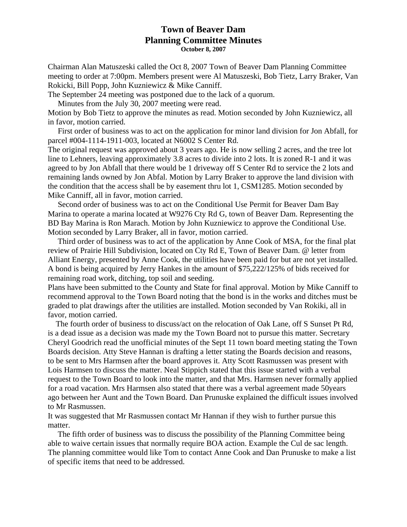## **Town of Beaver Dam Planning Committee Minutes October 8, 2007**

Chairman Alan Matuszeski called the Oct 8, 2007 Town of Beaver Dam Planning Committee meeting to order at 7:00pm. Members present were Al Matuszeski, Bob Tietz, Larry Braker, Van Rokicki, Bill Popp, John Kuzniewicz & Mike Canniff.

The September 24 meeting was postponed due to the lack of a quorum.

Minutes from the July 30, 2007 meeting were read.

Motion by Bob Tietz to approve the minutes as read. Motion seconded by John Kuzniewicz, all in favor, motion carried.

 First order of business was to act on the application for minor land division for Jon Abfall, for parcel #004-1114-1911-003, located at N6002 S Center Rd.

The original request was approved about 3 years ago. He is now selling 2 acres, and the tree lot line to Lehners, leaving approximately 3.8 acres to divide into 2 lots. It is zoned R-1 and it was agreed to by Jon Abfall that there would be 1 driveway off S Center Rd to service the 2 lots and remaining lands owned by Jon Abfal. Motion by Larry Braker to approve the land division with the condition that the access shall be by easement thru lot 1, CSM1285. Motion seconded by Mike Canniff, all in favor, motion carried.

 Second order of business was to act on the Conditional Use Permit for Beaver Dam Bay Marina to operate a marina located at W9276 Cty Rd G, town of Beaver Dam. Representing the BD Bay Marina is Ron Marach. Motion by John Kuzniewicz to approve the Conditional Use. Motion seconded by Larry Braker, all in favor, motion carried.

 Third order of business was to act of the application by Anne Cook of MSA, for the final plat review of Prairie Hill Subdivision, located on Cty Rd E, Town of Beaver Dam. @ letter from Alliant Energy, presented by Anne Cook, the utilities have been paid for but are not yet installed. A bond is being acquired by Jerry Hankes in the amount of \$75,222/125% of bids received for remaining road work, ditching, top soil and seeding.

Plans have been submitted to the County and State for final approval. Motion by Mike Canniff to recommend approval to the Town Board noting that the bond is in the works and ditches must be graded to plat drawings after the utilities are installed. Motion seconded by Van Rokiki, all in favor, motion carried.

 The fourth order of business to discuss/act on the relocation of Oak Lane, off S Sunset Pt Rd, is a dead issue as a decision was made my the Town Board not to pursue this matter. Secretary Cheryl Goodrich read the unofficial minutes of the Sept 11 town board meeting stating the Town Boards decision. Atty Steve Hannan is drafting a letter stating the Boards decision and reasons, to be sent to Mrs Harmsen after the board approves it. Atty Scott Rasmussen was present with Lois Harmsen to discuss the matter. Neal Stippich stated that this issue started with a verbal request to the Town Board to look into the matter, and that Mrs. Harmsen never formally applied for a road vacation. Mrs Harmsen also stated that there was a verbal agreement made 50years ago between her Aunt and the Town Board. Dan Prunuske explained the difficult issues involved to Mr Rasmussen.

It was suggested that Mr Rasmussen contact Mr Hannan if they wish to further pursue this matter.

 The fifth order of business was to discuss the possibility of the Planning Committee being able to waive certain issues that normally require BOA action. Example the Cul de sac length. The planning committee would like Tom to contact Anne Cook and Dan Prunuske to make a list of specific items that need to be addressed.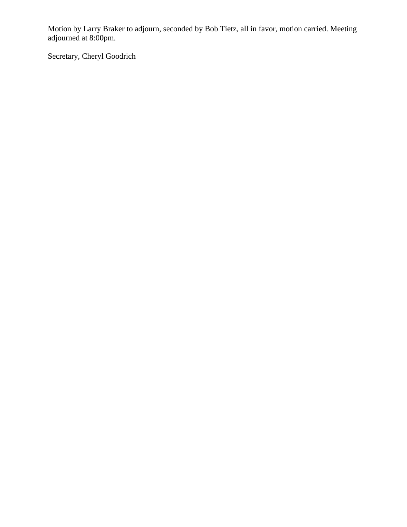Motion by Larry Braker to adjourn, seconded by Bob Tietz, all in favor, motion carried. Meeting adjourned at 8:00pm.